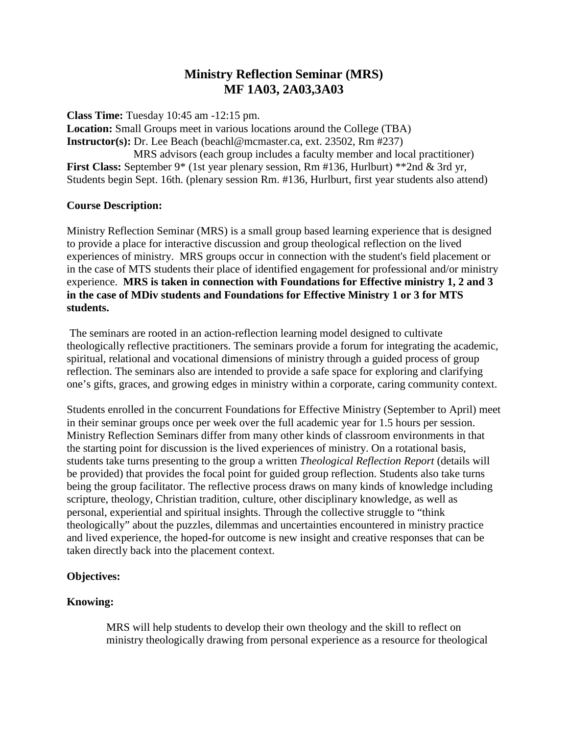# **Ministry Reflection Seminar (MRS) MF 1A03, 2A03,3A03**

**Class Time:** Tuesday 10:45 am -12:15 pm.

**Location:** Small Groups meet in various locations around the College (TBA) **Instructor(s):** Dr. Lee Beach (beachl@mcmaster.ca, ext. 23502, Rm #237)

 MRS advisors (each group includes a faculty member and local practitioner) **First Class:** September 9\* (1st year plenary session, Rm #136, Hurlburt) \*\*2nd & 3rd yr, Students begin Sept. 16th. (plenary session Rm. #136, Hurlburt, first year students also attend)

## **Course Description:**

Ministry Reflection Seminar (MRS) is a small group based learning experience that is designed to provide a place for interactive discussion and group theological reflection on the lived experiences of ministry. MRS groups occur in connection with the student's field placement or in the case of MTS students their place of identified engagement for professional and/or ministry experience. **MRS is taken in connection with Foundations for Effective ministry 1, 2 and 3 in the case of MDiv students and Foundations for Effective Ministry 1 or 3 for MTS students.**

The seminars are rooted in an action-reflection learning model designed to cultivate theologically reflective practitioners. The seminars provide a forum for integrating the academic, spiritual, relational and vocational dimensions of ministry through a guided process of group reflection. The seminars also are intended to provide a safe space for exploring and clarifying one's gifts, graces, and growing edges in ministry within a corporate, caring community context.

Students enrolled in the concurrent Foundations for Effective Ministry (September to April) meet in their seminar groups once per week over the full academic year for 1.5 hours per session. Ministry Reflection Seminars differ from many other kinds of classroom environments in that the starting point for discussion is the lived experiences of ministry. On a rotational basis, students take turns presenting to the group a written *Theological Reflection Report* (details will be provided) that provides the focal point for guided group reflection. Students also take turns being the group facilitator. The reflective process draws on many kinds of knowledge including scripture, theology, Christian tradition, culture, other disciplinary knowledge, as well as personal, experiential and spiritual insights. Through the collective struggle to "think theologically" about the puzzles, dilemmas and uncertainties encountered in ministry practice and lived experience, the hoped-for outcome is new insight and creative responses that can be taken directly back into the placement context.

# **Objectives:**

# **Knowing:**

MRS will help students to develop their own theology and the skill to reflect on ministry theologically drawing from personal experience as a resource for theological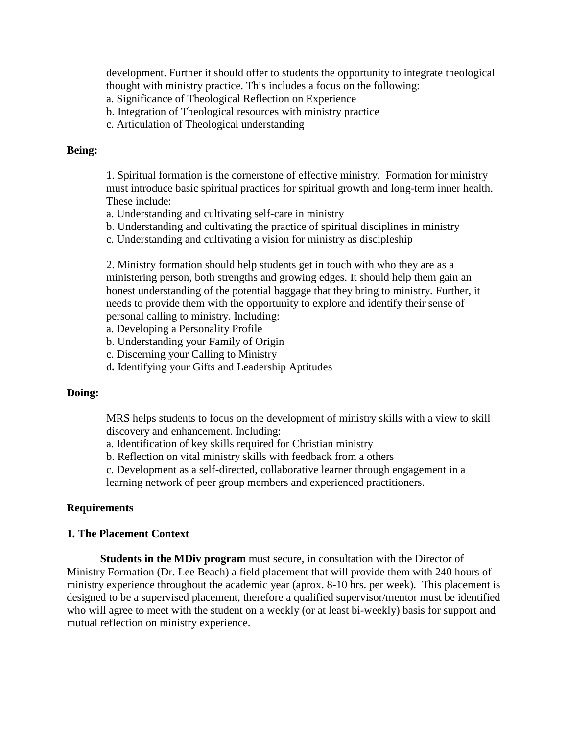development. Further it should offer to students the opportunity to integrate theological thought with ministry practice. This includes a focus on the following:

- a. Significance of Theological Reflection on Experience
- b. Integration of Theological resources with ministry practice
- c. Articulation of Theological understanding

#### **Being:**

1. Spiritual formation is the cornerstone of effective ministry. Formation for ministry must introduce basic spiritual practices for spiritual growth and long-term inner health. These include:

- a. Understanding and cultivating self-care in ministry
- b. Understanding and cultivating the practice of spiritual disciplines in ministry
- c. Understanding and cultivating a vision for ministry as discipleship

2. Ministry formation should help students get in touch with who they are as a ministering person, both strengths and growing edges. It should help them gain an honest understanding of the potential baggage that they bring to ministry. Further, it needs to provide them with the opportunity to explore and identify their sense of personal calling to ministry. Including:

- a. Developing a Personality Profile
- b. Understanding your Family of Origin
- c. Discerning your Calling to Ministry
- d**.** Identifying your Gifts and Leadership Aptitudes

#### **Doing:**

MRS helps students to focus on the development of ministry skills with a view to skill discovery and enhancement. Including:

- a. Identification of key skills required for Christian ministry
- b. Reflection on vital ministry skills with feedback from a others

c. Development as a self-directed, collaborative learner through engagement in a learning network of peer group members and experienced practitioners.

### **Requirements**

#### **1. The Placement Context**

**Students in the MDiv program** must secure, in consultation with the Director of Ministry Formation (Dr. Lee Beach) a field placement that will provide them with 240 hours of ministry experience throughout the academic year (aprox. 8-10 hrs. per week). This placement is designed to be a supervised placement, therefore a qualified supervisor/mentor must be identified who will agree to meet with the student on a weekly (or at least bi-weekly) basis for support and mutual reflection on ministry experience.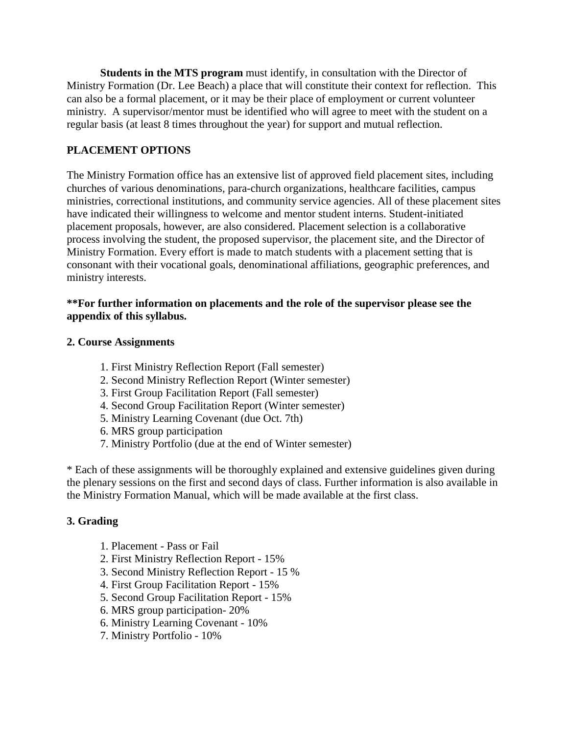**Students in the MTS program** must identify, in consultation with the Director of Ministry Formation (Dr. Lee Beach) a place that will constitute their context for reflection. This can also be a formal placement, or it may be their place of employment or current volunteer ministry. A supervisor/mentor must be identified who will agree to meet with the student on a regular basis (at least 8 times throughout the year) for support and mutual reflection.

## **PLACEMENT OPTIONS**

The Ministry Formation office has an extensive list of approved field placement sites, including churches of various denominations, para-church organizations, healthcare facilities, campus ministries, correctional institutions, and community service agencies. All of these placement sites have indicated their willingness to welcome and mentor student interns. Student-initiated placement proposals, however, are also considered. Placement selection is a collaborative process involving the student, the proposed supervisor, the placement site, and the Director of Ministry Formation. Every effort is made to match students with a placement setting that is consonant with their vocational goals, denominational affiliations, geographic preferences, and ministry interests.

### **\*\*For further information on placements and the role of the supervisor please see the appendix of this syllabus.**

## **2. Course Assignments**

- 1. First Ministry Reflection Report (Fall semester)
- 2. Second Ministry Reflection Report (Winter semester)
- 3. First Group Facilitation Report (Fall semester)
- 4. Second Group Facilitation Report (Winter semester)
- 5. Ministry Learning Covenant (due Oct. 7th)
- 6. MRS group participation
- 7. Ministry Portfolio (due at the end of Winter semester)

\* Each of these assignments will be thoroughly explained and extensive guidelines given during the plenary sessions on the first and second days of class. Further information is also available in the Ministry Formation Manual, which will be made available at the first class.

## **3. Grading**

- 1. Placement Pass or Fail
- 2. First Ministry Reflection Report 15%
- 3. Second Ministry Reflection Report 15 %
- 4. First Group Facilitation Report 15%
- 5. Second Group Facilitation Report 15%
- 6. MRS group participation- 20%
- 6. Ministry Learning Covenant 10%
- 7. Ministry Portfolio 10%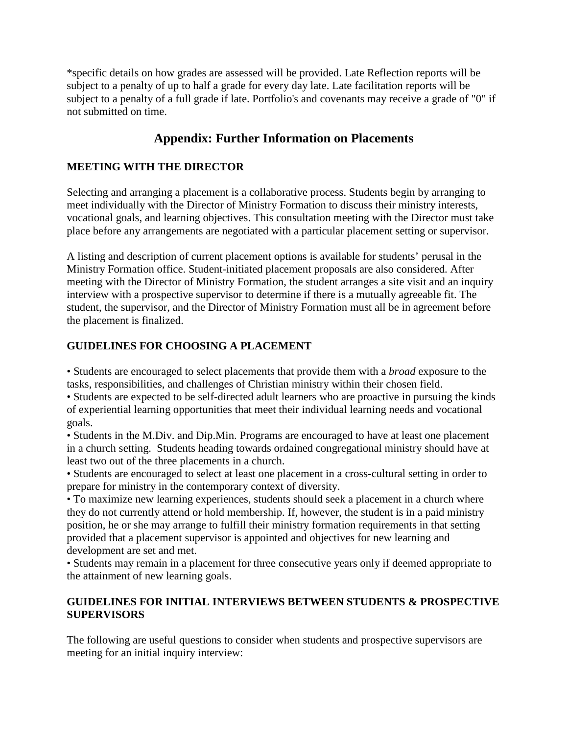\*specific details on how grades are assessed will be provided. Late Reflection reports will be subject to a penalty of up to half a grade for every day late. Late facilitation reports will be subject to a penalty of a full grade if late. Portfolio's and covenants may receive a grade of "0" if not submitted on time.

# **Appendix: Further Information on Placements**

## **MEETING WITH THE DIRECTOR**

Selecting and arranging a placement is a collaborative process. Students begin by arranging to meet individually with the Director of Ministry Formation to discuss their ministry interests, vocational goals, and learning objectives. This consultation meeting with the Director must take place before any arrangements are negotiated with a particular placement setting or supervisor.

A listing and description of current placement options is available for students' perusal in the Ministry Formation office. Student-initiated placement proposals are also considered. After meeting with the Director of Ministry Formation, the student arranges a site visit and an inquiry interview with a prospective supervisor to determine if there is a mutually agreeable fit. The student, the supervisor, and the Director of Ministry Formation must all be in agreement before the placement is finalized.

## **GUIDELINES FOR CHOOSING A PLACEMENT**

• Students are encouraged to select placements that provide them with a *broad* exposure to the tasks, responsibilities, and challenges of Christian ministry within their chosen field.

• Students are expected to be self-directed adult learners who are proactive in pursuing the kinds of experiential learning opportunities that meet their individual learning needs and vocational goals.

• Students in the M.Div. and Dip.Min. Programs are encouraged to have at least one placement in a church setting. Students heading towards ordained congregational ministry should have at least two out of the three placements in a church.

• Students are encouraged to select at least one placement in a cross-cultural setting in order to prepare for ministry in the contemporary context of diversity.

• To maximize new learning experiences, students should seek a placement in a church where they do not currently attend or hold membership. If, however, the student is in a paid ministry position, he or she may arrange to fulfill their ministry formation requirements in that setting provided that a placement supervisor is appointed and objectives for new learning and development are set and met.

• Students may remain in a placement for three consecutive years only if deemed appropriate to the attainment of new learning goals.

# **GUIDELINES FOR INITIAL INTERVIEWS BETWEEN STUDENTS & PROSPECTIVE SUPERVISORS**

The following are useful questions to consider when students and prospective supervisors are meeting for an initial inquiry interview: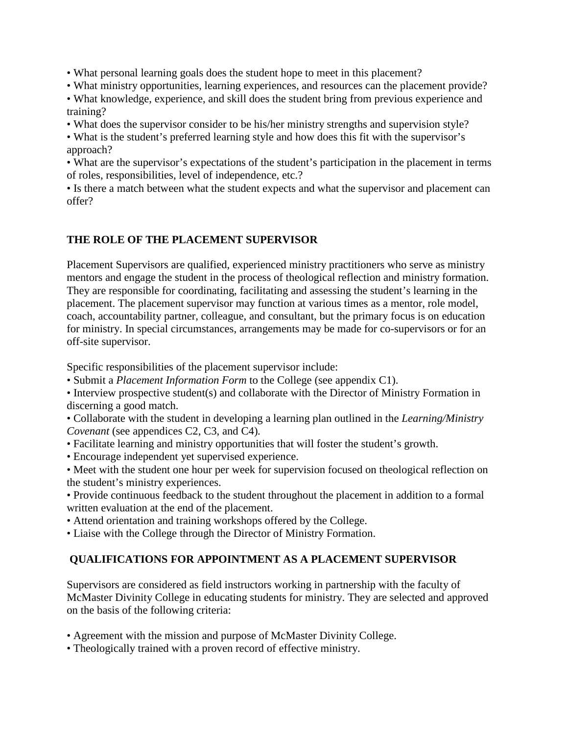• What personal learning goals does the student hope to meet in this placement?

• What ministry opportunities, learning experiences, and resources can the placement provide?

• What knowledge, experience, and skill does the student bring from previous experience and training?

• What does the supervisor consider to be his/her ministry strengths and supervision style?

• What is the student's preferred learning style and how does this fit with the supervisor's approach?

• What are the supervisor's expectations of the student's participation in the placement in terms of roles, responsibilities, level of independence, etc.?

• Is there a match between what the student expects and what the supervisor and placement can offer?

## **THE ROLE OF THE PLACEMENT SUPERVISOR**

Placement Supervisors are qualified, experienced ministry practitioners who serve as ministry mentors and engage the student in the process of theological reflection and ministry formation. They are responsible for coordinating, facilitating and assessing the student's learning in the placement. The placement supervisor may function at various times as a mentor, role model, coach, accountability partner, colleague, and consultant, but the primary focus is on education for ministry. In special circumstances, arrangements may be made for co-supervisors or for an off-site supervisor.

Specific responsibilities of the placement supervisor include:

• Submit a *Placement Information Form* to the College (see appendix C1).

• Interview prospective student(s) and collaborate with the Director of Ministry Formation in discerning a good match.

• Collaborate with the student in developing a learning plan outlined in the *Learning/Ministry Covenant* (see appendices C2, C3, and C4)*.*

- Facilitate learning and ministry opportunities that will foster the student's growth.
- Encourage independent yet supervised experience.

• Meet with the student one hour per week for supervision focused on theological reflection on the student's ministry experiences.

- Provide continuous feedback to the student throughout the placement in addition to a formal written evaluation at the end of the placement.
- Attend orientation and training workshops offered by the College.
- Liaise with the College through the Director of Ministry Formation.

# **QUALIFICATIONS FOR APPOINTMENT AS A PLACEMENT SUPERVISOR**

Supervisors are considered as field instructors working in partnership with the faculty of McMaster Divinity College in educating students for ministry. They are selected and approved on the basis of the following criteria:

- Agreement with the mission and purpose of McMaster Divinity College.
- Theologically trained with a proven record of effective ministry.